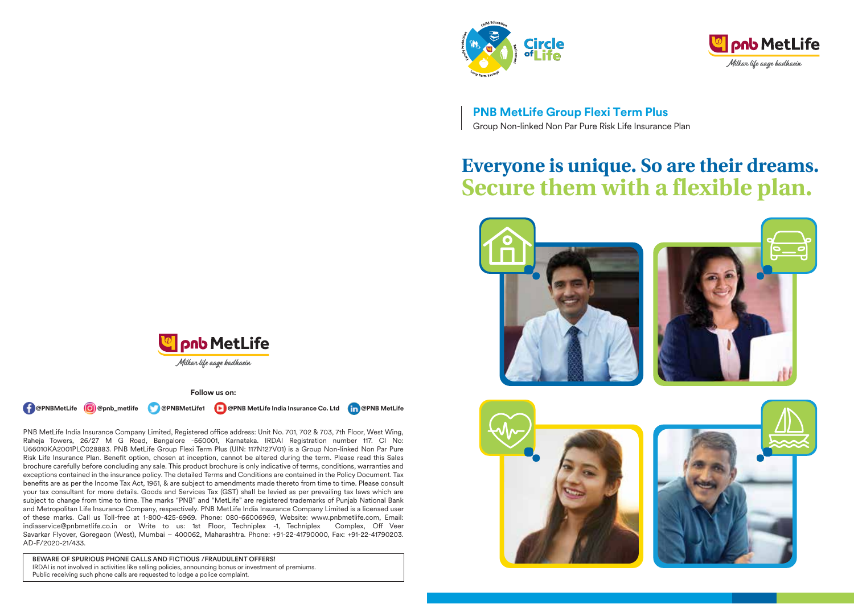



**PNB MetLife Group Flexi Term Plus**  Group Non-linked Non Par Pure Risk Life Insurance Plan

# **Everyone is unique. So are their dreams. Secure them with a flexible plan.**





**Follow us on:**

**( PernBMetLife @)** @pnb\_metlife @PNBMetLife1 **D** @PNB MetLife India Insurance Co. Ltd **@PNB MetLife** 

PNB MetLife India Insurance Company Limited, Registered office address: Unit No. 701, 702 & 703, 7th Floor, West Wing, Raheja Towers, 26/27 M G Road, Bangalore -560001, Karnataka. IRDAI Registration number 117. CI No: U66010KA2001PLC028883. PNB MetLife Group Flexi Term Plus (UIN: 117N127V01) is a Group Non-linked Non Par Pure Risk Life Insurance Plan. Benefit option, chosen at inception, cannot be altered during the term. Please read this Sales brochure carefully before concluding any sale. This product brochure is only indicative of terms, conditions, warranties and exceptions contained in the insurance policy. The detailed Terms and Conditions are contained in the Policy Document. Tax benefits are as per the Income Tax Act, 1961, & are subject to amendments made thereto from time to time. Please consult your tax consultant for more details. Goods and Services Tax (GST) shall be levied as per prevailing tax laws which are subject to change from time to time. The marks "PNB" and "MetLife" are registered trademarks of Punjab National Bank and Metropolitan Life Insurance Company, respectively. PNB MetLife India Insurance Company Limited is a licensed user of these marks. Call us Toll-free at 1-800-425-6969. Phone: 080-66006969, Website: www.pnbmetlife.com, Email: indiaservice@pnbmetlife.co.in or Write to us: 1st Floor, Techniplex -1, Techniplex Complex, Off Veer Savarkar Flyover, Goregaon (West), Mumbai – 400062, Maharashtra. Phone: +91-22-41790000, Fax: +91-22-41790203. AD-F/2020-21/433.

BEWARE OF SPURIOUS PHONE CALLS AND FICTIOUS /FRAUDULENT OFFERS! IRDAI is not involved in activities like selling policies, announcing bonus or investment of premiums. Public receiving such phone calls are requested to lodge a police complaint.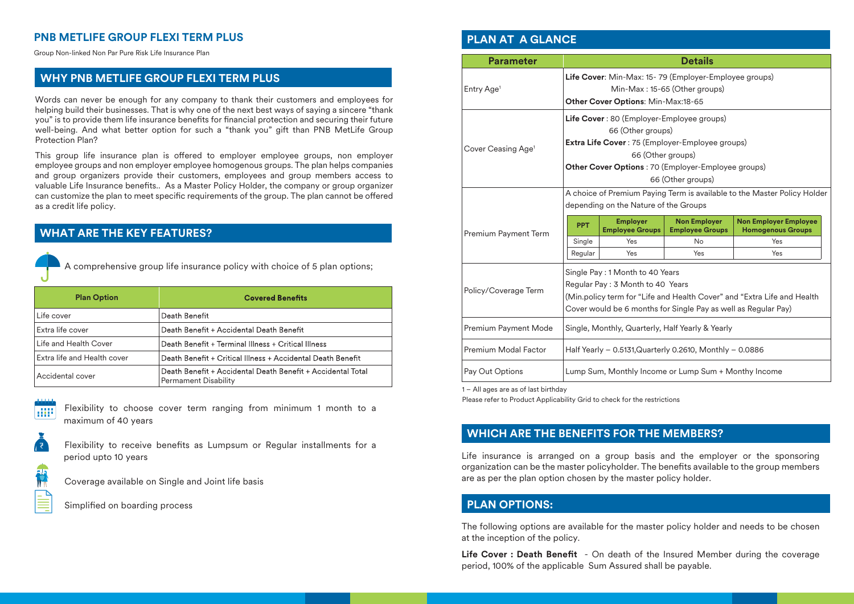# **PNB METLIFE GROUP FLEXI TERM PLUS**

Group Non-linked Non Par Pure Risk Life Insurance Plan

# **WHY PNB METLIFE GROUP FLEXI TERM PLUS**

Words can never be enough for any company to thank their customers and employees for helping build their businesses. That is why one of the next best ways of saying a sincere "thank you" is to provide them life insurance benefits for financial protection and securing their future well-being. And what better option for such a "thank you" gift than PNB MetLife Group Protection Plan?

This group life insurance plan is offered to employer employee groups, non employer employee groups and non employer employee homogenous groups. The plan helps companies and group organizers provide their customers, employees and group members access to valuable Life Insurance benefits.. As a Master Policy Holder, the company or group organizer can customize the plan to meet specific requirements of the group. The plan cannot be offered as a credit life policy.

# **WHAT ARE THE KEY FEATURES?**



A comprehensive group life insurance policy with choice of 5 plan options;

| <b>Plan Option</b>          | <b>Covered Benefits</b>                                                                    |
|-----------------------------|--------------------------------------------------------------------------------------------|
| Life cover                  | Death Benefit                                                                              |
| Extra life cover            | Death Benefit + Accidental Death Benefit                                                   |
| Life and Health Cover       | Death Benefit + Terminal Illness + Critical Illness                                        |
| Extra life and Health cover | Death Benefit + Critical Illness + Accidental Death Benefit                                |
| Accidental cover            | Death Benefit + Accidental Death Benefit + Accidental Total<br><b>Permament Disability</b> |

Flexibility to choose cover term ranging from minimum 1 month to a **R** maximum of 40 years



Flexibility to receive benefits as Lumpsum or Regular installments for a period upto 10 years

Coverage available on Single and Joint life basis

Simplified on boarding process

# **PLAN AT A GLANCE**

| <b>Parameter</b>                                                         | <b>Details</b>                                                          |                                           |                                                           |                                                          |  |
|--------------------------------------------------------------------------|-------------------------------------------------------------------------|-------------------------------------------|-----------------------------------------------------------|----------------------------------------------------------|--|
|                                                                          | Life Cover: Min-Max: 15-79 (Employer-Employee groups)                   |                                           |                                                           |                                                          |  |
| Entry Age <sup>1</sup>                                                   |                                                                         |                                           | Min-Max: 15-65 (Other groups)                             |                                                          |  |
|                                                                          | Other Cover Options: Min-Max:18-65                                      |                                           |                                                           |                                                          |  |
|                                                                          | Life Cover: 80 (Employer-Employee groups)                               |                                           |                                                           |                                                          |  |
|                                                                          |                                                                         | 66 (Other groups)                         |                                                           |                                                          |  |
|                                                                          |                                                                         |                                           | <b>Extra Life Cover</b> : 75 (Employer-Employee groups)   |                                                          |  |
| Cover Ceasing Age <sup>1</sup>                                           |                                                                         | 66 (Other groups)                         |                                                           |                                                          |  |
|                                                                          |                                                                         |                                           | <b>Other Cover Options: 70 (Employer-Employee groups)</b> |                                                          |  |
|                                                                          | 66 (Other groups)                                                       |                                           |                                                           |                                                          |  |
| A choice of Premium Paying Term is available to the Master Policy Holder |                                                                         |                                           |                                                           |                                                          |  |
|                                                                          | depending on the Nature of the Groups                                   |                                           |                                                           |                                                          |  |
| Premium Payment Term                                                     | <b>PPT</b>                                                              | <b>Employer</b><br><b>Employee Groups</b> | <b>Non Employer</b><br><b>Employee Groups</b>             | <b>Non Employer Employee</b><br><b>Homogenous Groups</b> |  |
|                                                                          | Single                                                                  | Yes                                       | <b>No</b>                                                 | Yes                                                      |  |
|                                                                          | Regular                                                                 | Yes                                       | Yes                                                       | Yes                                                      |  |
|                                                                          | Single Pay: 1 Month to 40 Years                                         |                                           |                                                           |                                                          |  |
|                                                                          | Regular Pay: 3 Month to 40 Years                                        |                                           |                                                           |                                                          |  |
| Policy/Coverage Term                                                     | (Min.policy term for "Life and Health Cover" and "Extra Life and Health |                                           |                                                           |                                                          |  |
|                                                                          | Cover would be 6 months for Single Pay as well as Regular Pay)          |                                           |                                                           |                                                          |  |
| Premium Payment Mode                                                     | Single, Monthly, Quarterly, Half Yearly & Yearly                        |                                           |                                                           |                                                          |  |
| Premium Modal Factor                                                     | Half Yearly - 0.5131, Quarterly 0.2610, Monthly - 0.0886                |                                           |                                                           |                                                          |  |
| Pay Out Options                                                          | Lump Sum, Monthly Income or Lump Sum + Monthy Income                    |                                           |                                                           |                                                          |  |

1 – All ages are as of last birthday

Please refer to Product Applicability Grid to check for the restrictions

# **WHICH ARE THE BENEFITS FOR THE MEMBERS?**

Life insurance is arranged on a group basis and the employer or the sponsoring organization can be the master policyholder. The benefits available to the group members are as per the plan option chosen by the master policy holder.

# **PLAN OPTIONS:**

The following options are available for the master policy holder and needs to be chosen at the inception of the policy.

Life Cover : Death Benefit - On death of the Insured Member during the coverage period, 100% of the applicable Sum Assured shall be payable.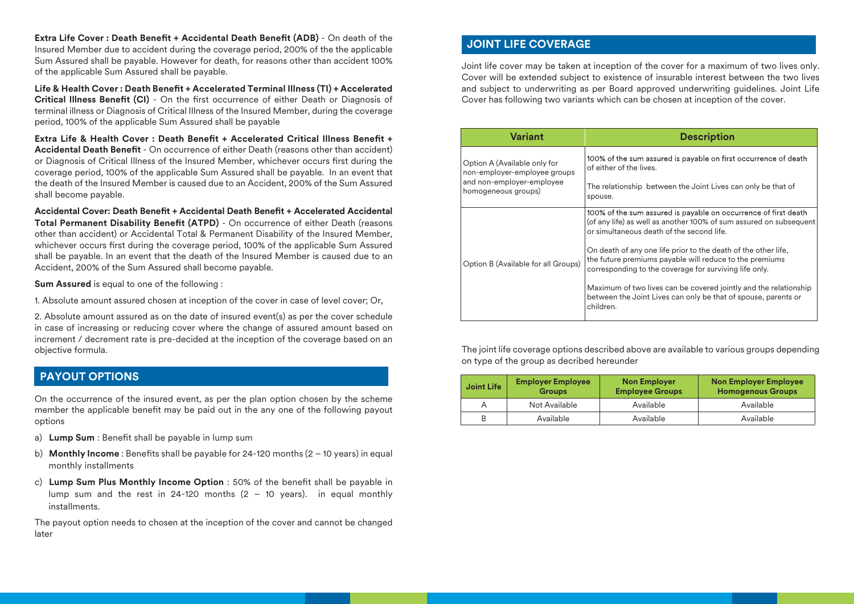**Extra Life Cover : Death Benefit + Accidental Death Benefit (ADB)** - On death of the Insured Member due to accident during the coverage period, 200% of the the applicable Sum Assured shall be payable. However for death, for reasons other than accident 100% of the applicable Sum Assured shall be payable.

Life & Health Cover : Death Benefit + Accelerated Terminal Illness (TI) + Accelerated **Critical Illness Benefit (CI)** - On the first occurrence of either Death or Diagnosis of terminal illness or Diagnosis of Critical Illness of the Insured Member, during the coverage period, 100% of the applicable Sum Assured shall be payable

**Extra Life & Health Cover: Death Benefit + Accelerated Critical Illness Benefit + Accidental Death Benefit** - On occurrence of either Death (reasons other than accident) or Diagnosis of Critical Illness of the Insured Member, whichever occurs first during the coverage period, 100% of the applicable Sum Assured shall be payable. In an event that the death of the Insured Member is caused due to an Accident, 200% of the Sum Assured shall become payable.

Accidental Cover: Death Benefit + Accidental Death Benefit + Accelerated Accidental **Total Permanent Disability Benefit (ATPD)** - On occurrence of either Death (reasons other than accident) or Accidental Total & Permanent Disability of the Insured Member, whichever occurs first during the coverage period, 100% of the applicable Sum Assured shall be payable. In an event that the death of the Insured Member is caused due to an Accident, 200% of the Sum Assured shall become payable.

**Sum Assured** is equal to one of the following :

1. Absolute amount assured chosen at inception of the cover in case of level cover; Or,

2. Absolute amount assured as on the date of insured event(s) as per the cover schedule in case of increasing or reducing cover where the change of assured amount based on increment / decrement rate is pre-decided at the inception of the coverage based on an objective formula.

# **PAYOUT OPTIONS**

On the occurrence of the insured event, as per the plan option chosen by the scheme member the applicable benefit may be paid out in the any one of the following payout options

- a) **Lump Sum** : Benefit shall be payable in lump sum
- b) **Monthly Income**: Benefits shall be payable for 24-120 months  $(2 10 \text{ years})$  in equal monthly installments
- c) **Lump Sum Plus Monthly Income Option** : 50% of the benefit shall be payable in lump sum and the rest in 24-120 months  $(2 - 10 \text{ years})$ . in equal monthly installments.

The payout option needs to chosen at the inception of the cover and cannot be changed later

# **JOINT LIFE COVERAGE**

Joint life cover may be taken at inception of the cover for a maximum of two lives only. Cover will be extended subject to existence of insurable interest between the two lives and subject to underwriting as per Board approved underwriting guidelines. Joint Life Cover has following two variants which can be chosen at inception of the cover.

| <b>Variant</b>                                                                                                   | <b>Description</b>                                                                                                                                                                                                                                                                                                                                                                                                                                                                                                           |
|------------------------------------------------------------------------------------------------------------------|------------------------------------------------------------------------------------------------------------------------------------------------------------------------------------------------------------------------------------------------------------------------------------------------------------------------------------------------------------------------------------------------------------------------------------------------------------------------------------------------------------------------------|
| Option A (Available only for<br>non-employer-employee groups<br>and non-employer-employee<br>homogeneous groups) | 100% of the sum assured is payable on first occurrence of death<br>of either of the lives.<br>The relationship between the Joint Lives can only be that of<br>spouse.                                                                                                                                                                                                                                                                                                                                                        |
| Option B (Available for all Groups)                                                                              | 100% of the sum assured is payable on occurrence of first death<br>(of any life) as well as another 100% of sum assured on subsequent<br>or simultaneous death of the second life.<br>On death of any one life prior to the death of the other life,<br>the future premiums payable will reduce to the premiums<br>corresponding to the coverage for surviving life only.<br>Maximum of two lives can be covered jointly and the relationship<br>between the Joint Lives can only be that of spouse, parents or<br>children. |

The joint life coverage options described above are available to various groups depending on type of the group as decribed hereunder

| Joint Life | <b>Employer Employee</b><br><b>Groups</b> | <b>Non Employer</b><br><b>Employee Groups</b> | <b>Non Employer Employee</b><br><b>Homogenous Groups</b> |
|------------|-------------------------------------------|-----------------------------------------------|----------------------------------------------------------|
|            | Not Available                             | Available                                     | Available                                                |
|            | Available                                 | Available                                     | Available                                                |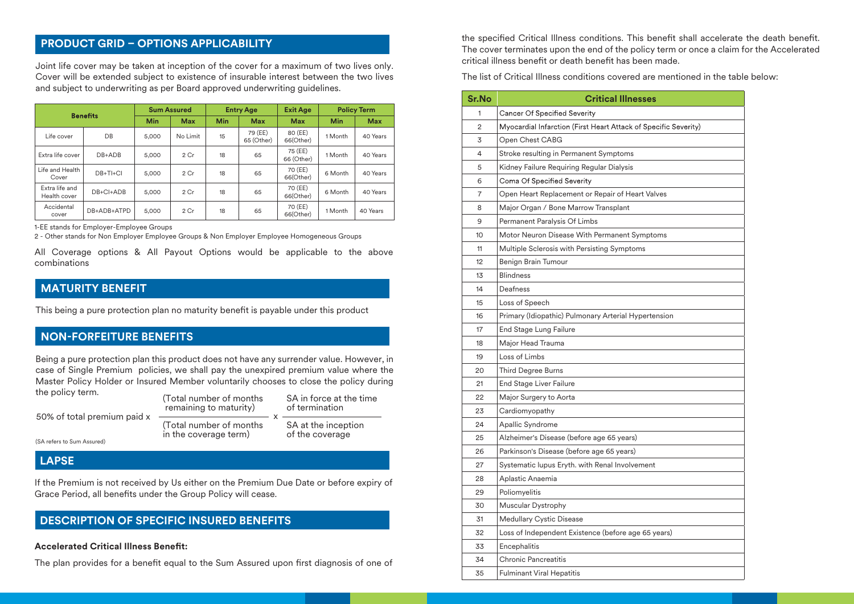# **PRODUCT GRID – OPTIONS APPLICABILITY**

Joint life cover may be taken at inception of the cover for a maximum of two lives only. Cover will be extended subject to existence of insurable interest between the two lives and subject to underwriting as per Board approved underwriting guidelines.

| <b>Benefits</b>                |                 | <b>Sum Assured</b> |          | <b>Entry Age</b> |                       | <b>Exit Age</b>       | <b>Policy Term</b> |            |
|--------------------------------|-----------------|--------------------|----------|------------------|-----------------------|-----------------------|--------------------|------------|
|                                |                 | Min                | Max      | Min              | Max                   | Max                   | Min                | <b>Max</b> |
| Life cover                     | DB              | 5.000              | No Limit | 15               | 79 (EE)<br>65 (Other) | 80 (EE)<br>66(Other)  | 1 Month            | 40 Years   |
| Extra life cover               | $DB+ADB$        | 5.000              | 2 Cr     | 18               | 65                    | 75 (EE)<br>66 (Other) | 1 Month            | 40 Years   |
| Life and Health<br>Cover       | $DB+TI+CI$      | 5.000              | 2 Cr     | 18               | 65                    | 70 (EE)<br>66(Other)  | 6 Month            | 40 Years   |
| Extra life and<br>Health cover | $DB + CI + ADB$ | 5.000              | 2 Cr     | 18               | 65                    | 70 (EE)<br>66(Other)  | 6 Month            | 40 Years   |
| Accidental<br>cover            | DB+ADB+ATPD     | 5,000              | 2 Cr     | 18               | 65                    | 70 (EE)<br>66(Other)  | 1 Month            | 40 Years   |

1-EE stands for Employer-Employee Groups

2 - Other stands for Non Employer Employee Groups & Non Employer Employee Homogeneous Groups

All Coverage options & All Payout Options would be applicable to the above combinations

# **MATURITY BENEFIT**

This being a pure protection plan no maturity benefit is payable under this product

# **NON-FORFEITURE BENEFITS**

Being a pure protection plan this product does not have any surrender value. However, in case of Single Premium policies, we shall pay the unexpired premium value where the Master Policy Holder or Insured Member voluntarily chooses to close the policy during the policy term.

(Total number of months remaining to maturity) (Total number of months 50% of total premium paid x SA in force at the time of termination SA at the inception x

in the coverage term)

of the coverage

(SA refers to Sum Assured)

 **LAPSE**

If the Premium is not received by Us either on the Premium Due Date or before expiry of Grace Period, all benefits under the Group Policy will cease.

# **DESCRIPTION OF SPECIFIC INSURED BENEFITS**

#### **Accelerated Critical Illness Benet:**

The plan provides for a benefit equal to the Sum Assured upon first diagnosis of one of

the specified Critical Illness conditions. This benefit shall accelerate the death benefit. The cover terminates upon the end of the policy term or once a claim for the Accelerated critical illness benefit or death benefit has been made.

The list of Critical Illness conditions covered are mentioned in the table below:

| Sr.No | <b>Critical Illnesses</b>                                       |
|-------|-----------------------------------------------------------------|
| 1     | Cancer Of Specified Severity                                    |
| 2     | Myocardial Infarction (First Heart Attack of Specific Severity) |
| 3     | Open Chest CABG                                                 |
| 4     | Stroke resulting in Permanent Symptoms                          |
| 5     | Kidney Failure Requiring Regular Dialysis                       |
| 6     | Coma Of Specified Severity                                      |
| 7     | Open Heart Replacement or Repair of Heart Valves                |
| 8     | Major Organ / Bone Marrow Transplant                            |
| 9     | Permanent Paralysis Of Limbs                                    |
| 10    | Motor Neuron Disease With Permanent Symptoms                    |
| 11    | Multiple Sclerosis with Persisting Symptoms                     |
| 12    | Benign Brain Tumour                                             |
| 13    | <b>Blindness</b>                                                |
| 14    | Deafness                                                        |
| 15    | Loss of Speech                                                  |
| 16    | Primary (Idiopathic) Pulmonary Arterial Hypertension            |
| 17    | End Stage Lung Failure                                          |
| 18    | Major Head Trauma                                               |
| 19    | Loss of Limbs                                                   |
| 20    | Third Degree Burns                                              |
| 21    | End Stage Liver Failure                                         |
| 22    | Major Surgery to Aorta                                          |
| 23    | Cardiomyopathy                                                  |
| 24    | Apallic Syndrome                                                |
| 25    | Alzheimer's Disease (before age 65 years)                       |
| 26    | Parkinson's Disease (before age 65 years)                       |
| 27    | Systematic lupus Eryth. with Renal Involvement                  |
| 28    | Aplastic Anaemia                                                |
| 29    | Poliomyelitis                                                   |
| 30    | Muscular Dystrophy                                              |
| 31    | Medullary Cystic Disease                                        |
| 32    | Loss of Independent Existence (before age 65 years)             |
| 33    | Encephalitis                                                    |
| 34    | <b>Chronic Pancreatitis</b>                                     |
| 35    | <b>Fulminant Viral Henatitis</b>                                |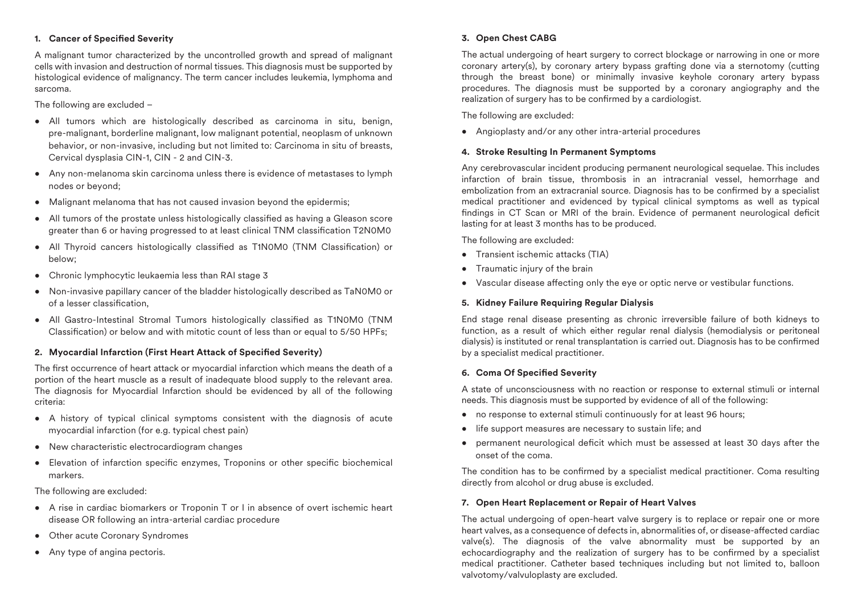### **1. Cancer of Specified Severity**

A malignant tumor characterized by the uncontrolled growth and spread of malignant cells with invasion and destruction of normal tissues. This diagnosis must be supported by histological evidence of malignancy. The term cancer includes leukemia, lymphoma and sarcoma.

The following are excluded –

- All tumors which are histologically described as carcinoma in situ, benign, pre-malignant, borderline malignant, low malignant potential, neoplasm of unknown behavior, or non-invasive, including but not limited to: Carcinoma in situ of breasts, Cervical dysplasia CIN-1, CIN - 2 and CIN-3.
- Any non-melanoma skin carcinoma unless there is evidence of metastases to lymph nodes or beyond;
- Malignant melanoma that has not caused invasion beyond the epidermis;
- All tumors of the prostate unless histologically classified as having a Gleason score greater than 6 or having progressed to at least clinical TNM classification T2N0M0
- All Thyroid cancers histologically classified as T1N0M0 (TNM Classification) or below;
- Chronic lymphocytic leukaemia less than RAI stage 3
- Non-invasive papillary cancer of the bladder histologically described as TaN0M0 or of a lesser classification.
- All Gastro-Intestinal Stromal Tumors histologically classified as T1N0M0 (TNM  $\text{Classification}$  or below and with mitotic count of less than or equal to 5/50 HPFs;

## **2. Myocardial Infarction (First Heart Attack of Specified Severity)**

The first occurrence of heart attack or myocardial infarction which means the death of a portion of the heart muscle as a result of inadequate blood supply to the relevant area. The diagnosis for Myocardial Infarction should be evidenced by all of the following criteria:

- A history of typical clinical symptoms consistent with the diagnosis of acute myocardial infarction (for e.g. typical chest pain)
- New characteristic electrocardiogram changes
- Elevation of infarction specific enzymes, Troponins or other specific biochemical markers.

The following are excluded:

- A rise in cardiac biomarkers or Troponin T or I in absence of overt ischemic heart disease OR following an intra-arterial cardiac procedure
- Other acute Coronary Syndromes
- Any type of angina pectoris.

## **3. Open Chest CABG**

The actual undergoing of heart surgery to correct blockage or narrowing in one or more coronary artery(s), by coronary artery bypass grafting done via a sternotomy (cutting through the breast bone) or minimally invasive keyhole coronary artery bypass procedures. The diagnosis must be supported by a coronary angiography and the realization of surgery has to be confirmed by a cardiologist.

The following are excluded:

• Angioplasty and/or any other intra-arterial procedures

#### **4. Stroke Resulting In Permanent Symptoms**

Any cerebrovascular incident producing permanent neurological sequelae. This includes infarction of brain tissue, thrombosis in an intracranial vessel, hemorrhage and embolization from an extracranial source. Diagnosis has to be confirmed by a specialist medical practitioner and evidenced by typical clinical symptoms as well as typical findings in CT Scan or MRI of the brain. Evidence of permanent neurological deficit lasting for at least 3 months has to be produced.

The following are excluded:

- Transient ischemic attacks (TIA)
- Traumatic injury of the brain
- Vascular disease affecting only the eye or optic nerve or vestibular functions.

## **5. Kidney Failure Requiring Regular Dialysis**

End stage renal disease presenting as chronic irreversible failure of both kidneys to function, as a result of which either regular renal dialysis (hemodialysis or peritoneal dialysis) is instituted or renal transplantation is carried out. Diagnosis has to be confirmed by a specialist medical practitioner.

#### **6. Coma Of Specified Severity**

A state of unconsciousness with no reaction or response to external stimuli or internal needs. This diagnosis must be supported by evidence of all of the following:

- no response to external stimuli continuously for at least 96 hours:
- life support measures are necessary to sustain life; and
- permanent neurological deficit which must be assessed at least 30 days after the onset of the coma.

The condition has to be confirmed by a specialist medical practitioner. Coma resulting directly from alcohol or drug abuse is excluded.

## **7. Open Heart Replacement or Repair of Heart Valves**

The actual undergoing of open-heart valve surgery is to replace or repair one or more heart valves, as a consequence of defects in, abnormalities of, or disease-affected cardiac valve(s). The diagnosis of the valve abnormality must be supported by an echocardiography and the realization of surgery has to be confirmed by a specialist medical practitioner. Catheter based techniques including but not limited to, balloon valvotomy/valvuloplasty are excluded.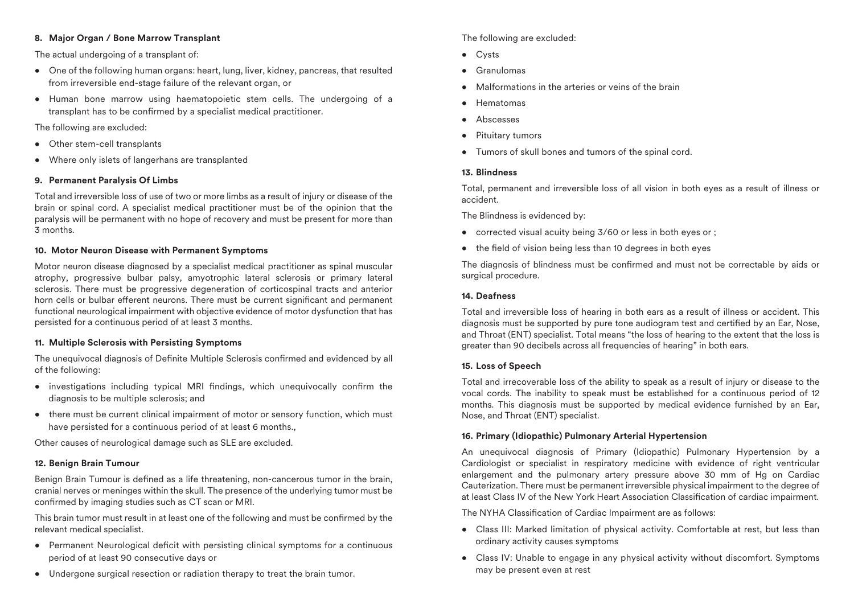### **8. Major Organ / Bone Marrow Transplant**

The actual undergoing of a transplant of:

- One of the following human organs: heart, lung, liver, kidney, pancreas, that resulted from irreversible end-stage failure of the relevant organ, or
- Human bone marrow using haematopoietic stem cells. The undergoing of a transplant has to be confirmed by a specialist medical practitioner.

The following are excluded:

- Other stem-cell transplants
- Where only islets of langerhans are transplanted

## **9. Permanent Paralysis Of Limbs**

Total and irreversible loss of use of two or more limbs as a result of injury or disease of the brain or spinal cord. A specialist medical practitioner must be of the opinion that the paralysis will be permanent with no hope of recovery and must be present for more than 3 months.

#### **10. Motor Neuron Disease with Permanent Symptoms**

Motor neuron disease diagnosed by a specialist medical practitioner as spinal muscular atrophy, progressive bulbar palsy, amyotrophic lateral sclerosis or primary lateral sclerosis. There must be progressive degeneration of corticospinal tracts and anterior horn cells or bulbar efferent neurons. There must be current significant and permanent functional neurological impairment with objective evidence of motor dysfunction that has persisted for a continuous period of at least 3 months.

#### **11. Multiple Sclerosis with Persisting Symptoms**

The unequivocal diagnosis of Definite Multiple Sclerosis confirmed and evidenced by all of the following:

- investigations including typical MRI findings, which unequivocally confirm the diagnosis to be multiple sclerosis; and
- there must be current clinical impairment of motor or sensory function, which must have persisted for a continuous period of at least 6 months..

Other causes of neurological damage such as SLE are excluded.

#### **12. Benign Brain Tumour**

Benign Brain Tumour is defined as a life threatening, non-cancerous tumor in the brain, cranial nerves or meninges within the skull. The presence of the underlying tumor must be confirmed by imaging studies such as CT scan or MRI.

This brain tumor must result in at least one of the following and must be confirmed by the relevant medical specialist.

- Permanent Neurological deficit with persisting clinical symptoms for a continuous period of at least 90 consecutive days or
- Undergone surgical resection or radiation therapy to treat the brain tumor.

## The following are excluded:

- Cysts
- Granulomas
- Malformations in the arteries or veins of the brain
- Hematomas
- Abscesses
- Pituitary tumors
- Tumors of skull bones and tumors of the spinal cord.

#### **13. Blindness**

Total, permanent and irreversible loss of all vision in both eyes as a result of illness or accident.

The Blindness is evidenced by:

- corrected visual acuity being 3/60 or less in both eyes or ;
- $\bullet$  the field of vision being less than 10 degrees in both eyes

The diagnosis of blindness must be confirmed and must not be correctable by aids or surgical procedure.

#### **14. Deafness**

Total and irreversible loss of hearing in both ears as a result of illness or accident. This diagnosis must be supported by pure tone audiogram test and certified by an Ear, Nose, and Throat (ENT) specialist. Total means "the loss of hearing to the extent that the loss is greater than 90 decibels across all frequencies of hearing" in both ears.

#### **15. Loss of Speech**

Total and irrecoverable loss of the ability to speak as a result of injury or disease to the vocal cords. The inability to speak must be established for a continuous period of 12 months. This diagnosis must be supported by medical evidence furnished by an Ear, Nose, and Throat (ENT) specialist.

#### **16. Primary (Idiopathic) Pulmonary Arterial Hypertension**

An unequivocal diagnosis of Primary (Idiopathic) Pulmonary Hypertension by a Cardiologist or specialist in respiratory medicine with evidence of right ventricular enlargement and the pulmonary artery pressure above 30 mm of Hg on Cardiac Cauterization. There must be permanent irreversible physical impairment to the degree of at least Class IV of the New York Heart Association Classication of cardiac impairment.

The NYHA Classification of Cardiac Impairment are as follows:

- Class III: Marked limitation of physical activity. Comfortable at rest, but less than ordinary activity causes symptoms
- Class IV: Unable to engage in any physical activity without discomfort. Symptoms may be present even at rest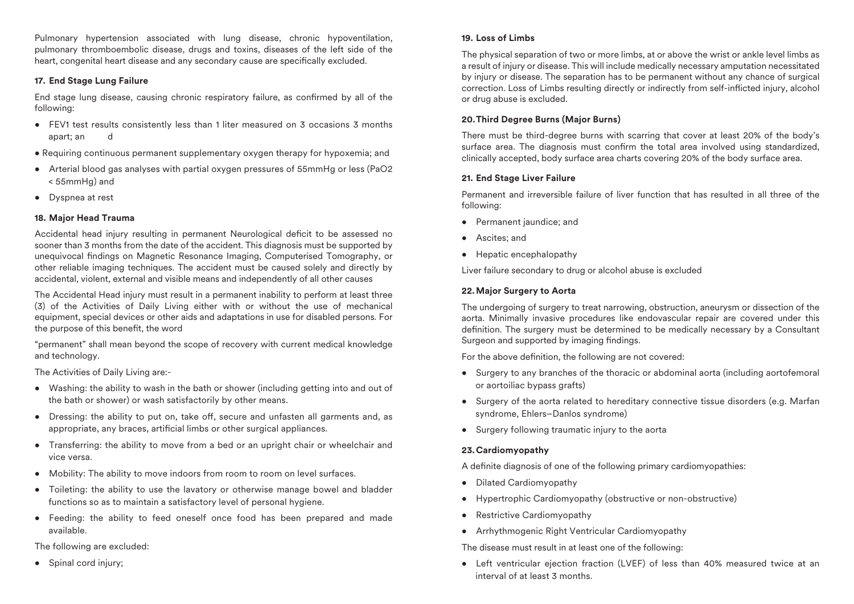Pulmonary hypertension associated with lung disease, chronic hypoventilation, pulmonary thromboembolic disease, drugs and toxins, diseases of the left side of the heart, congenital heart disease and any secondary cause are specifically excluded.

## **17. End Stage Lung Failure**

End stage lung disease, causing chronic respiratory failure, as confirmed by all of the following:

- FEV1 test results consistently less than 1 liter measured on 3 occasions 3 months apart; an d
- Requiring continuous permanent supplementary oxygen therapy for hypoxemia; and
- Arterial blood gas analyses with partial oxygen pressures of 55mmHg or less (PaO2 < 55mmHg) and
- Dyspnea at rest

## **18. Major Head Trauma**

Accidental head injury resulting in permanent Neurological deficit to be assessed no sooner than 3 months from the date of the accident. This diagnosis must be supported by unequivocal findings on Magnetic Resonance Imaging, Computerised Tomography, or other reliable imaging techniques. The accident must be caused solely and directly by accidental, violent, external and visible means and independently of all other causes

The Accidental Head injury must result in a permanent inability to perform at least three (3) of the Activities of Daily Living either with or without the use of mechanical equipment, special devices or other aids and adaptations in use for disabled persons. For the purpose of this benefit, the word

"permanent" shall mean beyond the scope of recovery with current medical knowledge and technology.

The Activities of Daily Living are:-

- Washing: the ability to wash in the bath or shower (including getting into and out of the bath or shower) or wash satisfactorily by other means.
- Dressing: the ability to put on, take off, secure and unfasten all garments and, as appropriate, any braces, artificial limbs or other surgical appliances.
- Transferring: the ability to move from a bed or an upright chair or wheelchair and vice versa.
- Mobility: The ability to move indoors from room to room on level surfaces.
- Toileting: the ability to use the lavatory or otherwise manage bowel and bladder functions so as to maintain a satisfactory level of personal hygiene.
- Feeding: the ability to feed oneself once food has been prepared and made available.

The following are excluded:

• Spinal cord injury;

## **19. Loss of Limbs**

The physical separation of two or more limbs, at or above the wrist or ankle level limbs as a result of injury or disease. This will include medically necessary amputation necessitated by injury or disease. The separation has to be permanent without any chance of surgical correction. Loss of Limbs resulting directly or indirectly from self-inflicted injury, alcohol or drug abuse is excluded.

## **20. Third Degree Burns (Major Burns)**

There must be third-degree burns with scarring that cover at least 20% of the body's surface area. The diagnosis must confirm the total area involved using standardized, clinically accepted, body surface area charts covering 20% of the body surface area.

## **21. End Stage Liver Failure**

Permanent and irreversible failure of liver function that has resulted in all three of the following:

- Permanent jaundice; and
- Ascites; and
- Hepatic encephalopathy

Liver failure secondary to drug or alcohol abuse is excluded

## **22. Major Surgery to Aorta**

The undergoing of surgery to treat narrowing, obstruction, aneurysm or dissection of the aorta. Minimally invasive procedures like endovascular repair are covered under this definition. The surgery must be determined to be medically necessary by a Consultant Surgeon and supported by imaging findings.

For the above definition, the following are not covered:

- Surgery to any branches of the thoracic or abdominal aorta (including aortofemoral or aortoiliac bypass grafts)
- Surgery of the aorta related to hereditary connective tissue disorders (e.g. Marfan syndrome, Ehlers–Danlos syndrome)
- Surgery following traumatic injury to the aorta

## **23. Cardiomyopathy**

A definite diagnosis of one of the following primary cardiomyopathies:

- Dilated Cardiomyopathy
- Hypertrophic Cardiomyopathy (obstructive or non-obstructive)
- Restrictive Cardiomyopathy
- Arrhythmogenic Right Ventricular Cardiomyopathy

The disease must result in at least one of the following:

• Left ventricular ejection fraction (LVEF) of less than 40% measured twice at an interval of at least 3 months.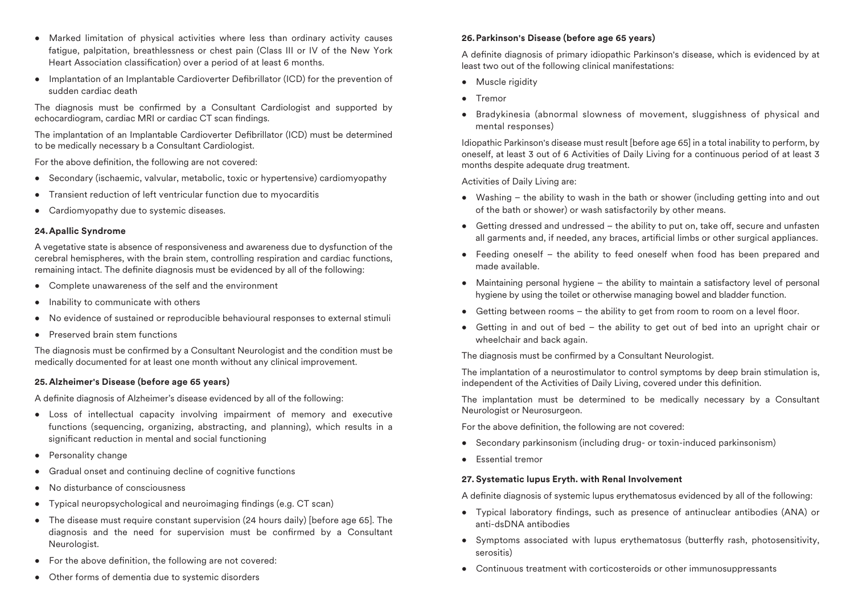- Marked limitation of physical activities where less than ordinary activity causes fatigue, palpitation, breathlessness or chest pain (Class III or IV of the New York Heart Association classification) over a period of at least 6 months.
- Implantation of an Implantable Cardioverter Defibrillator (ICD) for the prevention of sudden cardiac death

The diagnosis must be confirmed by a Consultant Cardiologist and supported by echocardiogram, cardiac MRI or cardiac CT scan findings.

The implantation of an Implantable Cardioverter Defibrillator (ICD) must be determined to be medically necessary b a Consultant Cardiologist.

For the above definition, the following are not covered:

- Secondary (ischaemic, valvular, metabolic, toxic or hypertensive) cardiomyopathy
- Transient reduction of left ventricular function due to myocarditis
- Cardiomyopathy due to systemic diseases.

#### **24. Apallic Syndrome**

A vegetative state is absence of responsiveness and awareness due to dysfunction of the cerebral hemispheres, with the brain stem, controlling respiration and cardiac functions, remaining intact. The definite diagnosis must be evidenced by all of the following:

- Complete unawareness of the self and the environment
- Inability to communicate with others
- No evidence of sustained or reproducible behavioural responses to external stimuli
- Preserved brain stem functions

The diagnosis must be confirmed by a Consultant Neurologist and the condition must be medically documented for at least one month without any clinical improvement.

## **25. Alzheimer's Disease (before age 65 years)**

A definite diagnosis of Alzheimer's disease evidenced by all of the following:

- Loss of intellectual capacity involving impairment of memory and executive functions (sequencing, organizing, abstracting, and planning), which results in a significant reduction in mental and social functioning
- Personality change
- Gradual onset and continuing decline of cognitive functions
- No disturbance of consciousness
- Typical neuropsychological and neuroimaging findings (e.g.  $CT$  scan)
- The disease must require constant supervision (24 hours daily) [before age 65]. The diagnosis and the need for supervision must be confirmed by a Consultant Neurologist.
- For the above definition, the following are not covered:
- Other forms of dementia due to systemic disorders

## **26. Parkinson's Disease (before age 65 years)**

A definite diagnosis of primary idiopathic Parkinson's disease, which is evidenced by at least two out of the following clinical manifestations:

- Muscle rigidity
- Tremor
- Bradykinesia (abnormal slowness of movement, sluggishness of physical and mental responses)

Idiopathic Parkinson's disease must result [before age 65] in a total inability to perform, by oneself, at least 3 out of 6 Activities of Daily Living for a continuous period of at least 3 months despite adequate drug treatment.

Activities of Daily Living are:

- Washing the ability to wash in the bath or shower (including getting into and out of the bath or shower) or wash satisfactorily by other means.
- $\bullet$  Getting dressed and undressed the ability to put on, take off, secure and unfasten all garments and, if needed, any braces, artificial limbs or other surgical appliances.
- Feeding oneself the ability to feed oneself when food has been prepared and made available.
- Maintaining personal hygiene the ability to maintain a satisfactory level of personal hygiene by using the toilet or otherwise managing bowel and bladder function.
- $\bullet$  Getting between rooms the ability to get from room to room on a level floor.
- Getting in and out of bed the ability to get out of bed into an upright chair or wheelchair and back again.

The diagnosis must be confirmed by a Consultant Neurologist.

The implantation of a neurostimulator to control symptoms by deep brain stimulation is, independent of the Activities of Daily Living, covered under this definition.

The implantation must be determined to be medically necessary by a Consultant Neurologist or Neurosurgeon.

For the above definition, the following are not covered:

- Secondary parkinsonism (including drug- or toxin-induced parkinsonism)
- Essential tremor

## **27. Systematic lupus Eryth. with Renal Involvement**

A definite diagnosis of systemic lupus erythematosus evidenced by all of the following:

- Typical laboratory findings, such as presence of antinuclear antibodies (ANA) or anti-dsDNA antibodies
- Symptoms associated with lupus erythematosus (butterfly rash, photosensitivity, serositis)
- Continuous treatment with corticosteroids or other immunosuppressants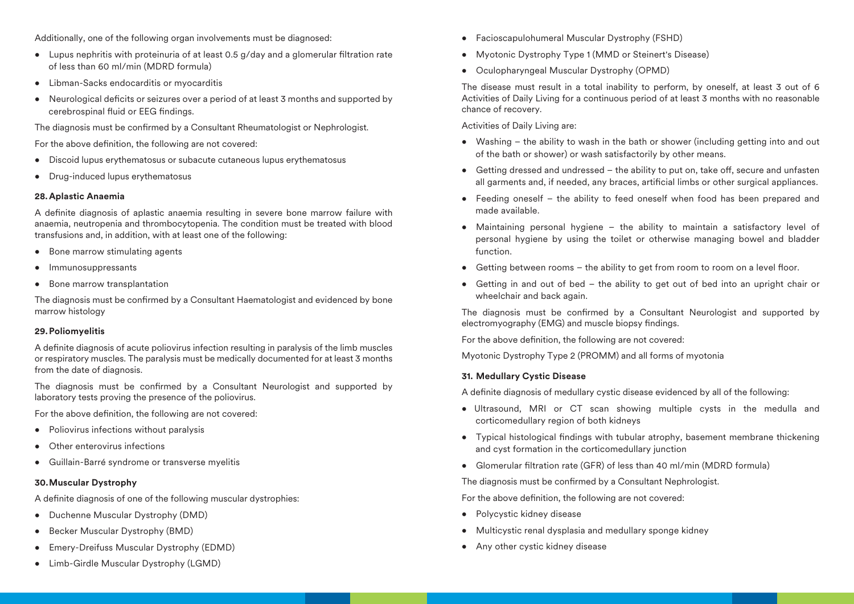Additionally, one of the following organ involvements must be diagnosed:

- Lupus nephritis with proteinuria of at least 0.5  $q$ /day and a glomerular filtration rate of less than 60 ml/min (MDRD formula)
- Libman-Sacks endocarditis or myocarditis
- Neurological deficits or seizures over a period of at least 3 months and supported by cerebrospinal fluid or EEG findings.

The diagnosis must be confirmed by a Consultant Rheumatologist or Nephrologist.

For the above definition, the following are not covered:

- Discoid lupus erythematosus or subacute cutaneous lupus erythematosus
- Drug-induced lupus erythematosus

#### **28. Aplastic Anaemia**

A definite diagnosis of aplastic anaemia resulting in severe bone marrow failure with anaemia, neutropenia and thrombocytopenia. The condition must be treated with blood transfusions and, in addition, with at least one of the following:

- Bone marrow stimulating agents
- Immunosuppressants
- Bone marrow transplantation

The diagnosis must be confirmed by a Consultant Haematologist and evidenced by bone marrow histology

#### **29. Poliomyelitis**

A definite diagnosis of acute poliovirus infection resulting in paralysis of the limb muscles or respiratory muscles. The paralysis must be medically documented for at least 3 months from the date of diagnosis.

The diagnosis must be confirmed by a Consultant Neurologist and supported by laboratory tests proving the presence of the poliovirus.

For the above definition, the following are not covered:

- Poliovirus infections without paralysis
- Other enterovirus infections
- Guillain-Barré syndrome or transverse myelitis

## **30. Muscular Dystrophy**

A definite diagnosis of one of the following muscular dystrophies:

- Duchenne Muscular Dystrophy (DMD)
- Becker Muscular Dystrophy (BMD)
- Emery-Dreifuss Muscular Dystrophy (EDMD)
- Limb-Girdle Muscular Dystrophy (LGMD)
- Facioscapulohumeral Muscular Dystrophy (FSHD)
- Myotonic Dystrophy Type 1 (MMD or Steinert's Disease)
- Oculopharyngeal Muscular Dystrophy (OPMD)

The disease must result in a total inability to perform, by oneself, at least 3 out of 6 Activities of Daily Living for a continuous period of at least 3 months with no reasonable chance of recovery.

Activities of Daily Living are:

- Washing the ability to wash in the bath or shower (including getting into and out of the bath or shower) or wash satisfactorily by other means.
- $\bullet$  Getting dressed and undressed  $-$  the ability to put on, take off, secure and unfasten all garments and, if needed, any braces, artificial limbs or other surgical appliances.
- Feeding oneself the ability to feed oneself when food has been prepared and made available.
- Maintaining personal hygiene the ability to maintain a satisfactory level of personal hygiene by using the toilet or otherwise managing bowel and bladder function.
- $\bullet$  Getting between rooms the ability to get from room to room on a level floor.
- Getting in and out of bed the ability to get out of bed into an upright chair or wheelchair and back again.

The diagnosis must be confirmed by a Consultant Neurologist and supported by electromyography (EMG) and muscle biopsy findings.

For the above definition, the following are not covered:

Myotonic Dystrophy Type 2 (PROMM) and all forms of myotonia

## **31. Medullary Cystic Disease**

A definite diagnosis of medullary cystic disease evidenced by all of the following:

- Ultrasound, MRI or CT scan showing multiple cysts in the medulla and corticomedullary region of both kidneys
- Typical histological findings with tubular atrophy, basement membrane thickening and cyst formation in the corticomedullary junction
- Glomerular filtration rate (GFR) of less than 40 ml/min (MDRD formula)

The diagnosis must be confirmed by a Consultant Nephrologist.

For the above definition, the following are not covered:

- Polycystic kidney disease
- Multicystic renal dysplasia and medullary sponge kidney
- Any other cystic kidney disease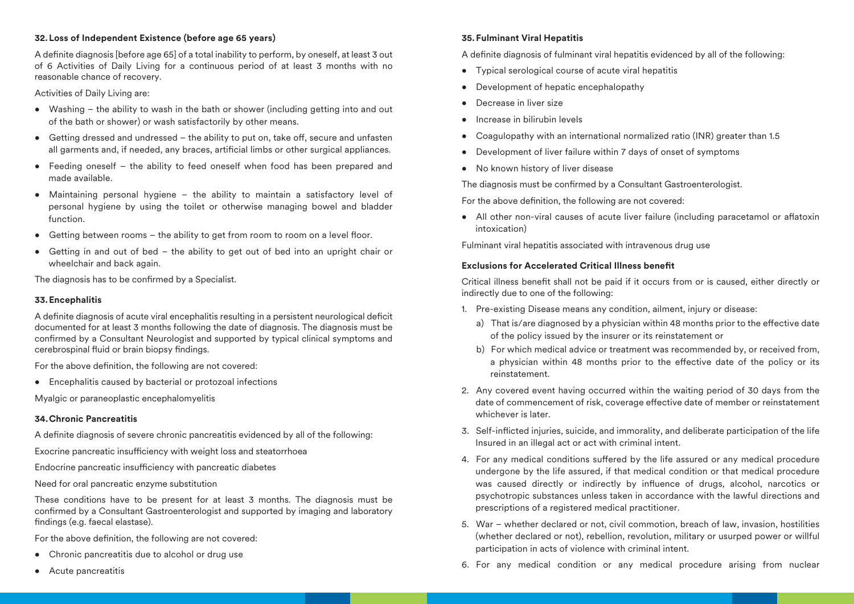## **32. Loss of Independent Existence (before age 65 years)**

A definite diagnosis [before age 65] of a total inability to perform, by oneself, at least 3 out of 6 Activities of Daily Living for a continuous period of at least 3 months with no reasonable chance of recovery.

Activities of Daily Living are:

- Washing the ability to wash in the bath or shower (including getting into and out of the bath or shower) or wash satisfactorily by other means.
- $\bullet$  Getting dressed and undressed the ability to put on, take off, secure and unfasten all garments and, if needed, any braces, artificial limbs or other surgical appliances.
- Feeding oneself the ability to feed oneself when food has been prepared and made available.
- Maintaining personal hygiene the ability to maintain a satisfactory level of personal hygiene by using the toilet or otherwise managing bowel and bladder function.
- $\bullet$  Getting between rooms the ability to get from room to room on a level floor.
- Getting in and out of bed the ability to get out of bed into an upright chair or wheelchair and back again.

The diagnosis has to be confirmed by a Specialist.

## **33. Encephalitis**

A definite diagnosis of acute viral encephalitis resulting in a persistent neurological deficit documented for at least 3 months following the date of diagnosis. The diagnosis must be confirmed by a Consultant Neurologist and supported by typical clinical symptoms and cerebrospinal fluid or brain biopsy findings.

For the above definition, the following are not covered:

• Encephalitis caused by bacterial or protozoal infections

Myalgic or paraneoplastic encephalomyelitis

# **34. Chronic Pancreatitis**

A definite diagnosis of severe chronic pancreatitis evidenced by all of the following:

Exocrine pancreatic insufficiency with weight loss and steatorrhoea

Endocrine pancreatic insufficiency with pancreatic diabetes

Need for oral pancreatic enzyme substitution

These conditions have to be present for at least 3 months. The diagnosis must be confirmed by a Consultant Gastroenterologist and supported by imaging and laboratory findings (e.g. faecal elastase).

For the above definition, the following are not covered:

- Chronic pancreatitis due to alcohol or drug use
- Acute pancreatitis

## **35. Fulminant Viral Hepatitis**

A definite diagnosis of fulminant viral hepatitis evidenced by all of the following:

- Typical serological course of acute viral hepatitis
- Development of hepatic encephalopathy
- Decrease in liver size
- Increase in bilirubin levels
- Coagulopathy with an international normalized ratio (INR) greater than 1.5
- Development of liver failure within 7 days of onset of symptoms
- No known history of liver disease

The diagnosis must be confirmed by a Consultant Gastroenterologist.

For the above definition, the following are not covered:

• All other non-viral causes of acute liver failure (including paracetamol or aflatoxin intoxication)

Fulminant viral hepatitis associated with intravenous drug use

# **Exclusions for Accelerated Critical Illness benet**

Critical illness benefit shall not be paid if it occurs from or is caused, either directly or indirectly due to one of the following:

- 1. Pre-existing Disease means any condition, ailment, injury or disease:
	- a) That is/are diagnosed by a physician within 48 months prior to the effective date of the policy issued by the insurer or its reinstatement or
	- b) For which medical advice or treatment was recommended by, or received from, a physician within 48 months prior to the effective date of the policy or its reinstatement.
- 2. Any covered event having occurred within the waiting period of 30 days from the date of commencement of risk, coverage effective date of member or reinstatement whichever is later
- 3. Self-inflicted injuries, suicide, and immorality, and deliberate participation of the life Insured in an illegal act or act with criminal intent.
- 4. For any medical conditions suffered by the life assured or any medical procedure undergone by the life assured, if that medical condition or that medical procedure was caused directly or indirectly by influence of drugs, alcohol, narcotics or psychotropic substances unless taken in accordance with the lawful directions and prescriptions of a registered medical practitioner.
- 5. War whether declared or not, civil commotion, breach of law, invasion, hostilities (whether declared or not), rebellion, revolution, military or usurped power or willful participation in acts of violence with criminal intent.
- 6. For any medical condition or any medical procedure arising from nuclear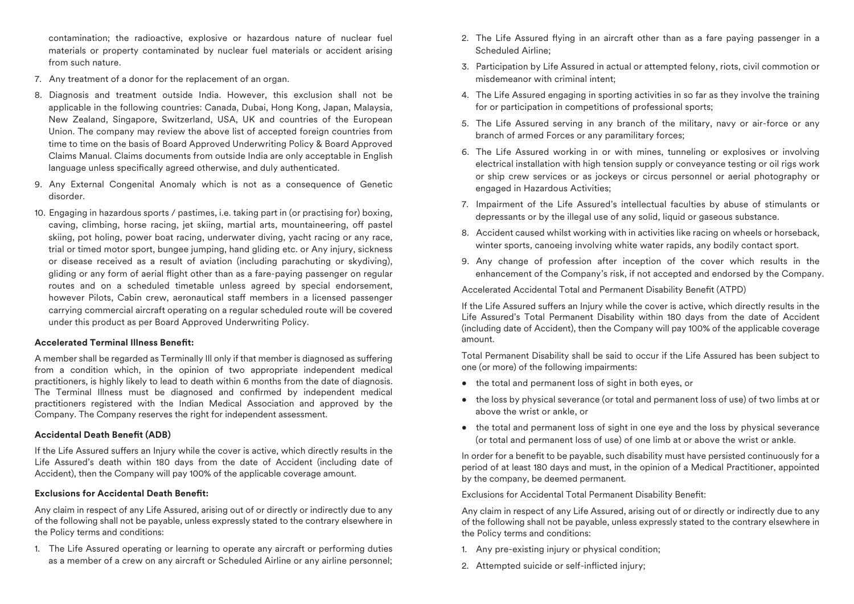contamination; the radioactive, explosive or hazardous nature of nuclear fuel materials or property contaminated by nuclear fuel materials or accident arising from such nature.

- 7. Any treatment of a donor for the replacement of an organ.
- 8. Diagnosis and treatment outside India. However, this exclusion shall not be applicable in the following countries: Canada, Dubai, Hong Kong, Japan, Malaysia, New Zealand, Singapore, Switzerland, USA, UK and countries of the European Union. The company may review the above list of accepted foreign countries from time to time on the basis of Board Approved Underwriting Policy & Board Approved Claims Manual. Claims documents from outside India are only acceptable in English language unless specifically agreed otherwise, and duly authenticated.
- 9. Any External Congenital Anomaly which is not as a consequence of Genetic disorder.
- 10. Engaging in hazardous sports / pastimes, i.e. taking part in (or practising for) boxing, caving, climbing, horse racing, jet skiing, martial arts, mountaineering, off pastel skiing, pot holing, power boat racing, underwater diving, yacht racing or any race, trial or timed motor sport, bungee jumping, hand gliding etc. or Any injury, sickness or disease received as a result of aviation (including parachuting or skydiving), gliding or any form of aerial flight other than as a fare-paying passenger on regular routes and on a scheduled timetable unless agreed by special endorsement, however Pilots, Cabin crew, aeronautical staff members in a licensed passenger carrying commercial aircraft operating on a regular scheduled route will be covered under this product as per Board Approved Underwriting Policy.

#### **Accelerated Terminal Illness Benet:**

A member shall be regarded as Terminally III only if that member is diagnosed as suffering from a condition which, in the opinion of two appropriate independent medical practitioners, is highly likely to lead to death within 6 months from the date of diagnosis. The Terminal Illness must be diagnosed and confirmed by independent medical practitioners registered with the Indian Medical Association and approved by the Company. The Company reserves the right for independent assessment.

#### **Accidental Death Benefit (ADB)**

If the Life Assured suffers an Injury while the cover is active, which directly results in the Life Assured's death within 180 days from the date of Accident (including date of Accident), then the Company will pay 100% of the applicable coverage amount.

## **Exclusions for Accidental Death Benefit:**

Any claim in respect of any Life Assured, arising out of or directly or indirectly due to any of the following shall not be payable, unless expressly stated to the contrary elsewhere in the Policy terms and conditions:

1. The Life Assured operating or learning to operate any aircraft or performing duties as a member of a crew on any aircraft or Scheduled Airline or any airline personnel;

- 2. The Life Assured flying in an aircraft other than as a fare paying passenger in a Scheduled Airline;
- 3. Participation by Life Assured in actual or attempted felony, riots, civil commotion or misdemeanor with criminal intent;
- 4. The Life Assured engaging in sporting activities in so far as they involve the training for or participation in competitions of professional sports;
- 5. The Life Assured serving in any branch of the military, navy or air-force or any branch of armed Forces or any paramilitary forces;
- 6. The Life Assured working in or with mines, tunneling or explosives or involving electrical installation with high tension supply or conveyance testing or oil rigs work or ship crew services or as jockeys or circus personnel or aerial photography or engaged in Hazardous Activities;
- 7. Impairment of the Life Assured's intellectual faculties by abuse of stimulants or depressants or by the illegal use of any solid, liquid or gaseous substance.
- 8. Accident caused whilst working with in activities like racing on wheels or horseback, winter sports, canoeing involving white water rapids, any bodily contact sport.
- 9. Any change of profession after inception of the cover which results in the enhancement of the Company's risk, if not accepted and endorsed by the Company.

Accelerated Accidental Total and Permanent Disability Benefit (ATPD)

If the Life Assured suffers an Injury while the cover is active, which directly results in the Life Assured's Total Permanent Disability within 180 days from the date of Accident (including date of Accident), then the Company will pay 100% of the applicable coverage amount.

Total Permanent Disability shall be said to occur if the Life Assured has been subject to one (or more) of the following impairments:

- the total and permanent loss of sight in both eyes, or
- the loss by physical severance (or total and permanent loss of use) of two limbs at or above the wrist or ankle, or
- the total and permanent loss of sight in one eye and the loss by physical severance (or total and permanent loss of use) of one limb at or above the wrist or ankle.

In order for a benefit to be payable, such disability must have persisted continuously for a period of at least 180 days and must, in the opinion of a Medical Practitioner, appointed by the company, be deemed permanent.

Exclusions for Accidental Total Permanent Disability Benefit:

Any claim in respect of any Life Assured, arising out of or directly or indirectly due to any of the following shall not be payable, unless expressly stated to the contrary elsewhere in the Policy terms and conditions:

- 1. Any pre-existing injury or physical condition;
- 2. Attempted suicide or self-inflicted injury;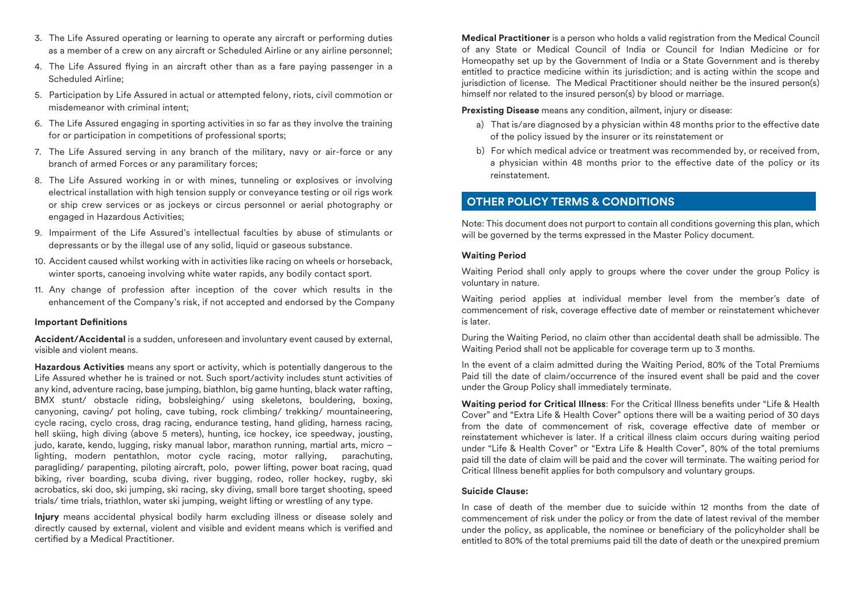- 3. The Life Assured operating or learning to operate any aircraft or performing duties as a member of a crew on any aircraft or Scheduled Airline or any airline personnel;
- 4. The Life Assured flying in an aircraft other than as a fare paying passenger in a Scheduled Airline;
- 5. Participation by Life Assured in actual or attempted felony, riots, civil commotion or misdemeanor with criminal intent;
- 6. The Life Assured engaging in sporting activities in so far as they involve the training for or participation in competitions of professional sports;
- 7. The Life Assured serving in any branch of the military, navy or air-force or any branch of armed Forces or any paramilitary forces;
- 8. The Life Assured working in or with mines, tunneling or explosives or involving electrical installation with high tension supply or conveyance testing or oil rigs work or ship crew services or as jockeys or circus personnel or aerial photography or engaged in Hazardous Activities;
- 9. Impairment of the Life Assured's intellectual faculties by abuse of stimulants or depressants or by the illegal use of any solid, liquid or gaseous substance.
- 10. Accident caused whilst working with in activities like racing on wheels or horseback, winter sports, canoeing involving white water rapids, any bodily contact sport.
- 11. Any change of profession after inception of the cover which results in the enhancement of the Company's risk, if not accepted and endorsed by the Company

## **Important Definitions**

**Accident/Accidental** is a sudden, unforeseen and involuntary event caused by external, visible and violent means.

**Hazardous Activities** means any sport or activity, which is potentially dangerous to the Life Assured whether he is trained or not. Such sport/activity includes stunt activities of any kind, adventure racing, base jumping, biathlon, big game hunting, black water rafting, BMX stunt/ obstacle riding, bobsleighing/ using skeletons, bouldering, boxing, canyoning, caving/ pot holing, cave tubing, rock climbing/ trekking/ mountaineering, cycle racing, cyclo cross, drag racing, endurance testing, hand gliding, harness racing, hell skiing, high diving (above 5 meters), hunting, ice hockey, ice speedway, jousting, judo, karate, kendo, lugging, risky manual labor, marathon running, martial arts, micro – lighting, modern pentathlon, motor cycle racing, motor rallying, parachuting, paragliding/ parapenting, piloting aircraft, polo, power lifting, power boat racing, quad biking, river boarding, scuba diving, river bugging, rodeo, roller hockey, rugby, ski acrobatics, ski doo, ski jumping, ski racing, sky diving, small bore target shooting, speed trials/ time trials, triathlon, water ski jumping, weight lifting or wrestling of any type.

**Injury** means accidental physical bodily harm excluding illness or disease solely and directly caused by external, violent and visible and evident means which is verified and certied by a Medical Practitioner.

**Medical Practitioner** is a person who holds a valid registration from the Medical Council of any State or Medical Council of India or Council for Indian Medicine or for Homeopathy set up by the Government of India or a State Government and is thereby entitled to practice medicine within its jurisdiction; and is acting within the scope and jurisdiction of license. The Medical Practitioner should neither be the insured person(s) himself nor related to the insured person(s) by blood or marriage.

**Prexisting Disease** means any condition, ailment, injury or disease:

- a) That is/are diagnosed by a physician within 48 months prior to the effective date of the policy issued by the insurer or its reinstatement or
- b) For which medical advice or treatment was recommended by, or received from, a physician within 48 months prior to the effective date of the policy or its reinstatement.

# **OTHER POLICY TERMS & CONDITIONS**

Note: This document does not purport to contain all conditions governing this plan, which will be governed by the terms expressed in the Master Policy document.

#### **Waiting Period**

Waiting Period shall only apply to groups where the cover under the group Policy is voluntary in nature.

Waiting period applies at individual member level from the member's date of commencement of risk, coverage effective date of member or reinstatement whichever is later.

During the Waiting Period, no claim other than accidental death shall be admissible. The Waiting Period shall not be applicable for coverage term up to 3 months.

In the event of a claim admitted during the Waiting Period, 80% of the Total Premiums Paid till the date of claim/occurrence of the insured event shall be paid and the cover under the Group Policy shall immediately terminate.

**Waiting period for Critical Illness:** For the Critical Illness benefits under "Life & Health Cover" and "Extra Life & Health Cover" options there will be a waiting period of 30 days from the date of commencement of risk, coverage effective date of member or reinstatement whichever is later. If a critical illness claim occurs during waiting period under "Life & Health Cover" or "Extra Life & Health Cover", 80% of the total premiums paid till the date of claim will be paid and the cover will terminate. The waiting period for Critical Illness benefit applies for both compulsory and voluntary groups.

## **Suicide Clause:**

In case of death of the member due to suicide within 12 months from the date of commencement of risk under the policy or from the date of latest revival of the member under the policy, as applicable, the nominee or beneficiary of the policyholder shall be entitled to 80% of the total premiums paid till the date of death or the unexpired premium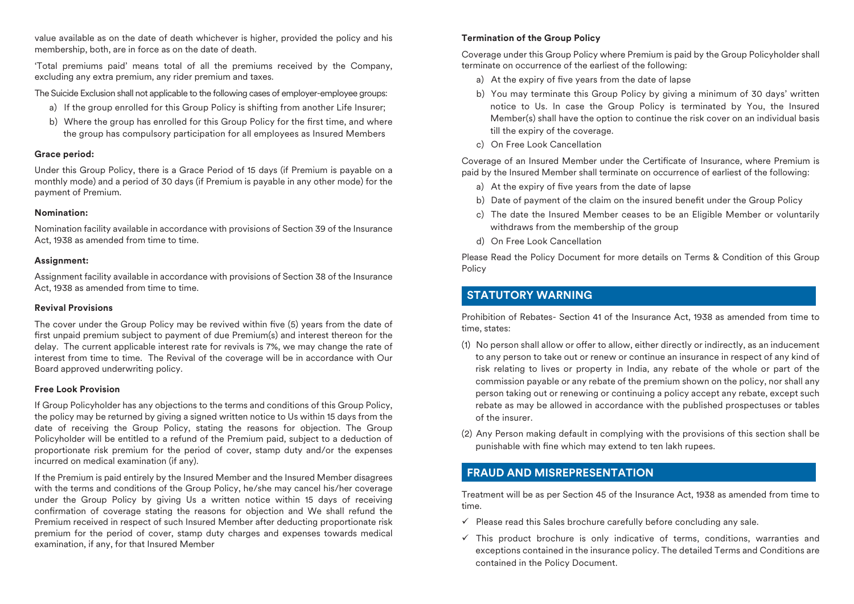value available as on the date of death whichever is higher, provided the policy and his membership, both, are in force as on the date of death.

'Total premiums paid' means total of all the premiums received by the Company, excluding any extra premium, any rider premium and taxes.

The Suicide Exclusion shall not applicable to the following cases of employer-employee groups:

- a) If the group enrolled for this Group Policy is shifting from another Life Insurer;
- b) Where the group has enrolled for this Group Policy for the first time, and where the group has compulsory participation for all employees as Insured Members

## **Grace period:**

Under this Group Policy, there is a Grace Period of 15 days (if Premium is payable on a monthly mode) and a period of 30 days (if Premium is payable in any other mode) for the payment of Premium.

## **Nomination:**

Nomination facility available in accordance with provisions of Section 39 of the Insurance Act, 1938 as amended from time to time.

## **Assignment:**

Assignment facility available in accordance with provisions of Section 38 of the Insurance Act, 1938 as amended from time to time.

## **Revival Provisions**

The cover under the Group Policy may be revived within five (5) years from the date of first unpaid premium subject to payment of due Premium(s) and interest thereon for the delay. The current applicable interest rate for revivals is 7%, we may change the rate of interest from time to time. The Revival of the coverage will be in accordance with Our Board approved underwriting policy.

## **Free Look Provision**

If Group Policyholder has any objections to the terms and conditions of this Group Policy, the policy may be returned by giving a signed written notice to Us within 15 days from the date of receiving the Group Policy, stating the reasons for objection. The Group Policyholder will be entitled to a refund of the Premium paid, subject to a deduction of proportionate risk premium for the period of cover, stamp duty and/or the expenses incurred on medical examination (if any).

If the Premium is paid entirely by the Insured Member and the Insured Member disagrees with the terms and conditions of the Group Policy, he/she may cancel his/her coverage under the Group Policy by giving Us a written notice within 15 days of receiving confirmation of coverage stating the reasons for objection and We shall refund the Premium received in respect of such Insured Member after deducting proportionate risk premium for the period of cover, stamp duty charges and expenses towards medical examination, if any, for that Insured Member

## **Termination of the Group Policy**

Coverage under this Group Policy where Premium is paid by the Group Policyholder shall terminate on occurrence of the earliest of the following:

- a) At the expiry of five years from the date of lapse
- b) You may terminate this Group Policy by giving a minimum of 30 days' written notice to Us. In case the Group Policy is terminated by You, the Insured Member(s) shall have the option to continue the risk cover on an individual basis till the expiry of the coverage.
- c) On Free Look Cancellation

Coverage of an Insured Member under the Certificate of Insurance, where Premium is paid by the Insured Member shall terminate on occurrence of earliest of the following:

- a) At the expiry of five years from the date of lapse
- b) Date of payment of the claim on the insured benefit under the Group Policy
- c) The date the Insured Member ceases to be an Eligible Member or voluntarily withdraws from the membership of the group
- d) On Free Look Cancellation

Please Read the Policy Document for more details on Terms & Condition of this Group Policy

# **STATUTORY WARNING**

Prohibition of Rebates- Section 41 of the Insurance Act, 1938 as amended from time to time, states:

- (1) No person shall allow or offer to allow, either directly or indirectly, as an inducement to any person to take out or renew or continue an insurance in respect of any kind of risk relating to lives or property in India, any rebate of the whole or part of the commission payable or any rebate of the premium shown on the policy, nor shall any person taking out or renewing or continuing a policy accept any rebate, except such rebate as may be allowed in accordance with the published prospectuses or tables of the insurer.
- (2) Any Person making default in complying with the provisions of this section shall be punishable with fine which may extend to ten lakh rupees.

# **FRAUD AND MISREPRESENTATION**

Treatment will be as per Section 45 of the Insurance Act, 1938 as amended from time to time.

- $\checkmark$  Please read this Sales brochure carefully before concluding any sale.
- $\checkmark$  This product brochure is only indicative of terms, conditions, warranties and exceptions contained in the insurance policy. The detailed Terms and Conditions are contained in the Policy Document.